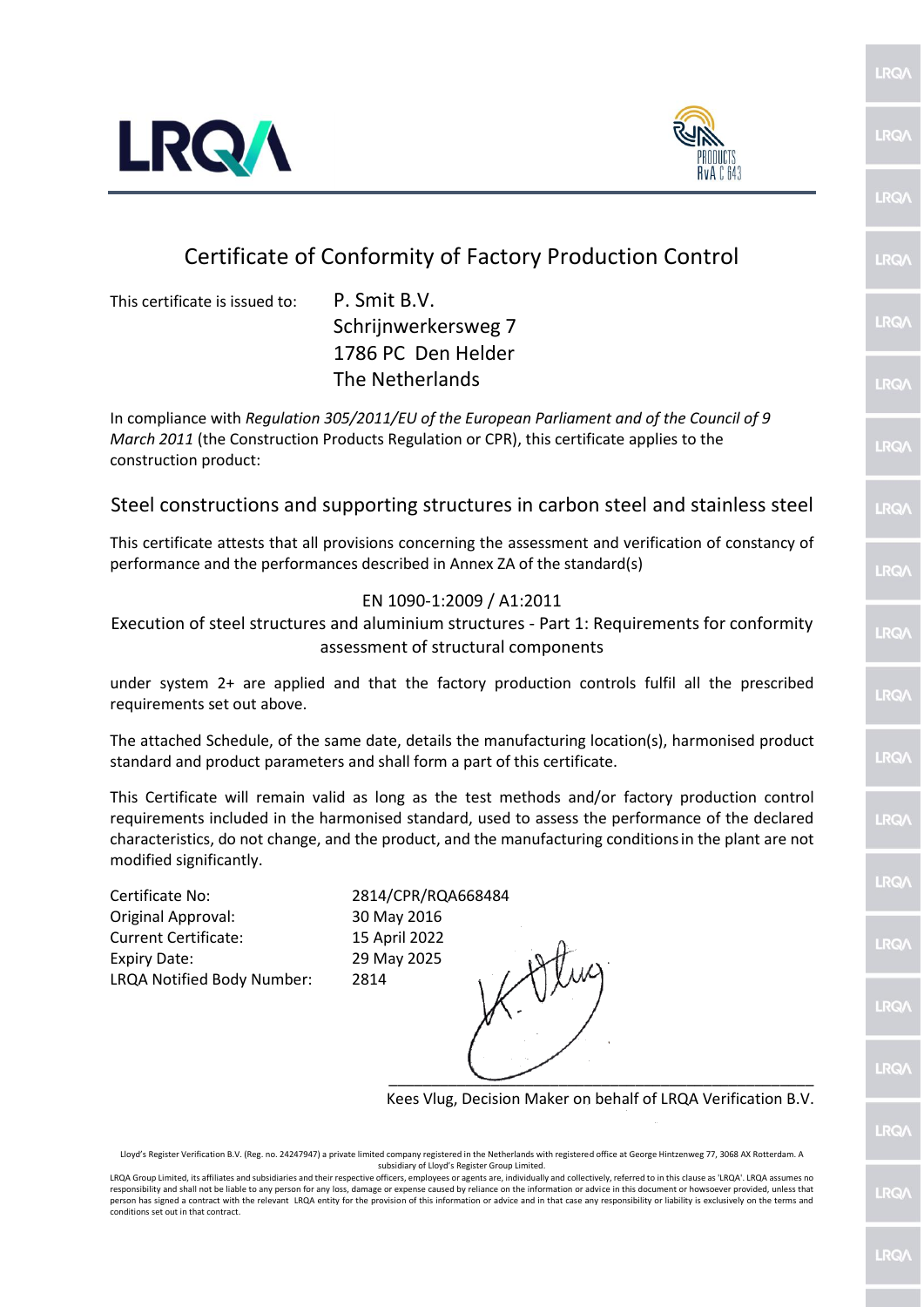



## Certificate of Conformity of Factory Production Control

This certificate is issued to: P. Smit B.V.

Schrijnwerkersweg 7 1786 PC Den Helder The Netherlands

In compliance with *Regulation 305/2011/EU of the European Parliament and of the Council of 9 March 2011* (the Construction Products Regulation or CPR), this certificate applies to the construction product:

## Steel constructions and supporting structures in carbon steel and stainless steel

This certificate attests that all provisions concerning the assessment and verification of constancy of performance and the performances described in Annex ZA of the standard(s)

## EN 1090-1:2009 / A1:2011

Execution of steel structures and aluminium structures - Part 1: Requirements for conformity assessment of structural components

under system 2+ are applied and that the factory production controls fulfil all the prescribed requirements set out above.

The attached Schedule, of the same date, details the manufacturing location(s), harmonised product standard and product parameters and shall form a part of this certificate.

This Certificate will remain valid as long as the test methods and/or factory production control requirements included in the harmonised standard, used to assess the performance of the declared characteristics, do not change, and the product, and the manufacturing conditionsin the plant are not modified significantly.

Certificate No: 2814/CPR/RQA668484 Original Approval: 30 May 2016 Current Certificate: 15 April 2022 Expiry Date: 29 May 2025 LRQA Notified Body Number: 2814

\_\_\_\_\_\_\_\_\_\_\_\_\_\_\_\_\_\_\_\_\_\_\_\_\_\_\_\_\_\_\_\_\_\_\_\_\_\_\_\_\_\_\_\_\_\_\_\_\_\_

Kees Vlug, Decision Maker on behalf of LRQA Verification B.V.

Lloyd's Register Verification B.V. (Reg. no. 24247947) a private limited company registered in the Netherlands with registered office at George Hintzenweg 77, 3068 AX Rotterdam. A subsidiary of Lloyd's Register Group Limited.

LRO/ **IRQ LRQ IRQ IRQ** LRQ/ **IRQ** 

LRQ/

**RQ** 

LRQ/

**IRQ** 

**IRQ** 

LRQ/

LRQ/

**RQ** 

LRO/

 $RO$ 

**IRQ** 

LRQA Group Limited, its affiliates and subsidiaries and their respective officers, employees or agents are, individually and collectively, referred to in this clause as 'LRQA'. LRQA assumes no responsibility and shall not be liable to any person for any loss, damage or expense caused by reliance on the information or advice in this document or howsoever provided, unless that person has signed a contract with the relevant LRQA entity for the provision of this information or advice and in that case any responsibility or liability is exclusively on the terms and conditions set out in that contract.